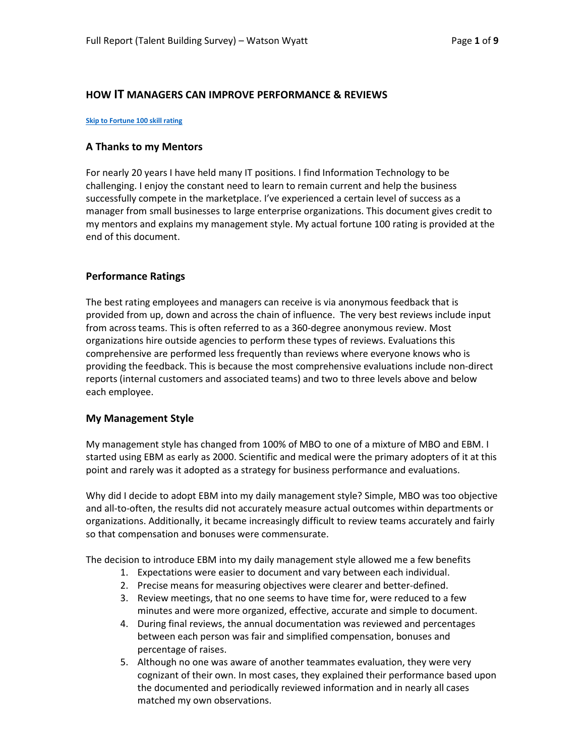#### **HOW IT MANAGERS CAN IMPROVE PERFORMANCE & REVIEWS**

#### **[Skip to Fortune 100 skill rating](#page-2-0)**

#### **A Thanks to my Mentors**

For nearly 20 years I have held many IT positions. I find Information Technology to be challenging. I enjoy the constant need to learn to remain current and help the business successfully compete in the marketplace. I've experienced a certain level of success as a manager from small businesses to large enterprise organizations. This document gives credit to my mentors and explains my management style. My actual fortune 100 rating is provided at the end of this document.

## **Performance Ratings**

The best rating employees and managers can receive is via anonymous feedback that is provided from up, down and across the chain of influence. The very best reviews include input from across teams. This is often referred to as a 360-degree anonymous review. Most organizations hire outside agencies to perform these types of reviews. Evaluations this comprehensive are performed less frequently than reviews where everyone knows who is providing the feedback. This is because the most comprehensive evaluations include non-direct reports (internal customers and associated teams) and two to three levels above and below each employee.

#### **My Management Style**

My management style has changed from 100% of MBO to one of a mixture of MBO and EBM. I started using EBM as early as 2000. Scientific and medical were the primary adopters of it at this point and rarely was it adopted as a strategy for business performance and evaluations.

Why did I decide to adopt EBM into my daily management style? Simple, MBO was too objective and all-to-often, the results did not accurately measure actual outcomes within departments or organizations. Additionally, it became increasingly difficult to review teams accurately and fairly so that compensation and bonuses were commensurate.

The decision to introduce EBM into my daily management style allowed me a few benefits

- 1. Expectations were easier to document and vary between each individual.
- 2. Precise means for measuring objectives were clearer and better-defined.
- 3. Review meetings, that no one seems to have time for, were reduced to a few minutes and were more organized, effective, accurate and simple to document.
- 4. During final reviews, the annual documentation was reviewed and percentages between each person was fair and simplified compensation, bonuses and percentage of raises.
- 5. Although no one was aware of another teammates evaluation, they were very cognizant of their own. In most cases, they explained their performance based upon the documented and periodically reviewed information and in nearly all cases matched my own observations.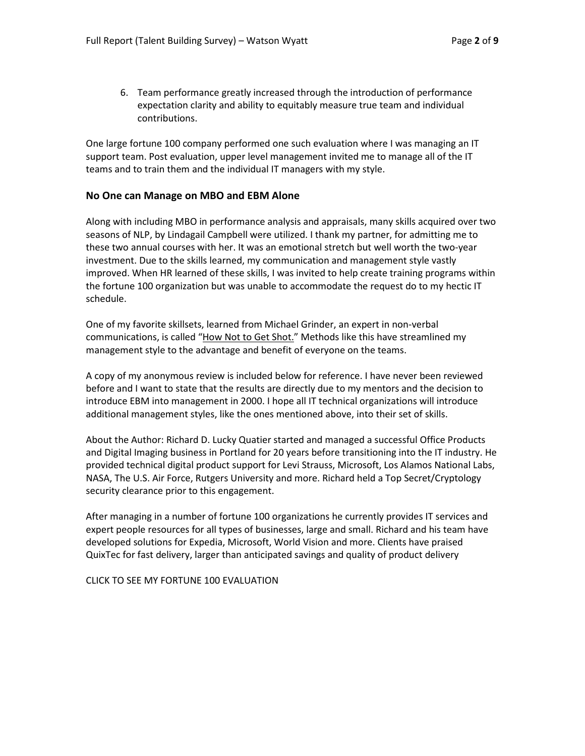6. Team performance greatly increased through the introduction of performance expectation clarity and ability to equitably measure true team and individual contributions.

One large fortune 100 company performed one such evaluation where I was managing an IT support team. Post evaluation, upper level management invited me to manage all of the IT teams and to train them and the individual IT managers with my style.

#### **No One can Manage on MBO and EBM Alone**

Along with including MBO in performance analysis and appraisals, many skills acquired over two seasons of NLP, by Lindagail Campbell were utilized. I thank my partner, for admitting me to these two annual courses with her. It was an emotional stretch but well worth the two-year investment. Due to the skills learned, my communication and management style vastly improved. When HR learned of these skills, I was invited to help create training programs within the fortune 100 organization but was unable to accommodate the request do to my hectic IT schedule.

One of my favorite skillsets, learned from Michael Grinder, an expert in non-verbal communications, is called "How Not to Get Shot." Methods like this have streamlined my management style to the advantage and benefit of everyone on the teams.

A copy of my anonymous review is included below for reference. I have never been reviewed before and I want to state that the results are directly due to my mentors and the decision to introduce EBM into management in 2000. I hope all IT technical organizations will introduce additional management styles, like the ones mentioned above, into their set of skills.

About the Author: Richard D. Lucky Quatier started and managed a successful Office Products and Digital Imaging business in Portland for 20 years before transitioning into the IT industry. He provided technical digital product support for Levi Strauss, Microsoft, Los Alamos National Labs, NASA, The U.S. Air Force, Rutgers University and more. Richard held a Top Secret/Cryptology security clearance prior to this engagement.

After managing in a number of fortune 100 organizations he currently provides IT services and expert people resources for all types of businesses, large and small. Richard and his team have developed solutions for Expedia, Microsoft, World Vision and more. Clients have praised QuixTec for fast delivery, larger than anticipated savings and quality of product delivery

CLICK TO SEE MY FORTUNE 100 EVALUATION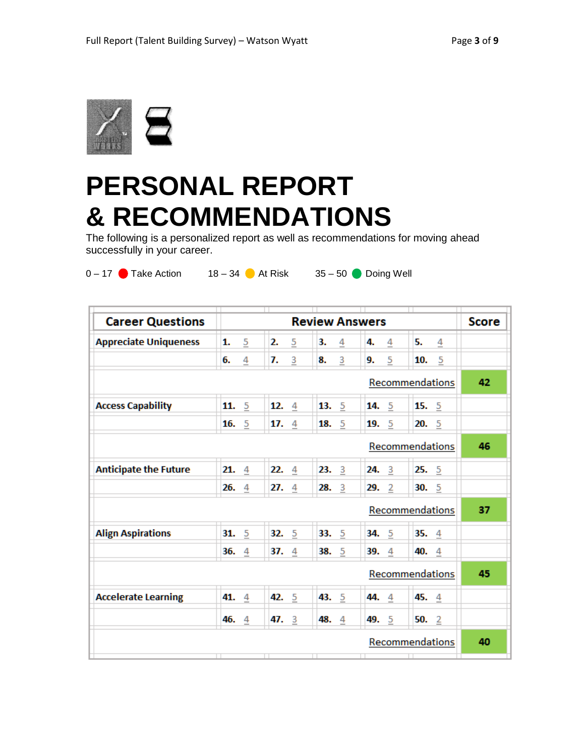

# <span id="page-2-0"></span>**PERSONAL REPORT & RECOMMENDATIONS**

The following is a personalized report as well as recommendations for moving ahead successfully in your career.

| $0 - 17$ | <b>Take Action</b> | $18 -$ |
|----------|--------------------|--------|
|          |                    |        |

 $34$  At Risk  $35 - 50$  Doing Well

| <b>Career Questions</b>      | П<br>π<br><b>Review Answers</b> |           |           |                                    | <b>Score</b> |
|------------------------------|---------------------------------|-----------|-----------|------------------------------------|--------------|
| <b>Appreciate Uniqueness</b> | 1.<br>5                         | 2.<br>5   | 3.<br>4   | 5.<br>4.<br>4<br>4                 |              |
|                              | 6.<br>4                         | 7.<br>3   | 3<br>8.   | 5<br>5<br>10.<br>9.                |              |
| Recommendations              |                                 |           |           |                                    |              |
| <b>Access Capability</b>     | 11.<br>5                        | 12.<br>4  | 13.<br>5  | 15.<br>$\overline{5}$<br>14.<br>5  |              |
|                              | $\overline{5}$<br>16.           | 17.<br>4  | 18.<br>5  | $\overline{5}$<br>5<br>20.<br>19.  |              |
| Recommendations              |                                 |           |           |                                    |              |
| <b>Anticipate the Future</b> | 21.<br>4                        | 22.<br>4  | 23.<br>-3 | 25.<br>-5<br>24.<br>3              |              |
|                              | 4<br>26.                        | 27.<br>4  | 3<br>28.  | -5<br>30.<br>29.<br>$\overline{2}$ |              |
| Recommendations              |                                 |           |           |                                    |              |
| <b>Align Aspirations</b>     | 31.<br>5                        | 32.<br>5  | 5<br>33.  | 5<br>34.<br>35.<br>$\overline{4}$  |              |
|                              | 4<br>36.                        | 37.<br>4  | 38.<br>5  | 4<br>40.<br>$\overline{4}$<br>39.  |              |
| Recommendations              |                                 |           |           |                                    |              |
| <b>Accelerate Learning</b>   | 41.<br>4                        | 42.<br>-5 | 43. 5     | 45. 4<br>44.<br>4                  |              |
|                              | 46.<br>4                        | 47.<br>3  | 48.<br>4  | 49.<br>-5<br>50.<br>$\overline{2}$ |              |
| Recommendations              |                                 |           |           |                                    | 40           |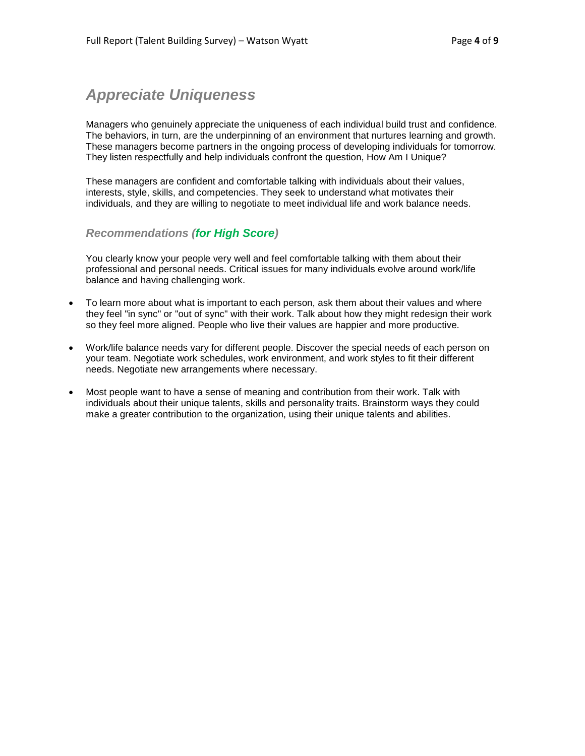## *Appreciate Uniqueness*

Managers who genuinely appreciate the uniqueness of each individual build trust and confidence. The behaviors, in turn, are the underpinning of an environment that nurtures learning and growth. These managers become partners in the ongoing process of developing individuals for tomorrow. They listen respectfully and help individuals confront the question, How Am I Unique?

These managers are confident and comfortable talking with individuals about their values, interests, style, skills, and competencies. They seek to understand what motivates their individuals, and they are willing to negotiate to meet individual life and work balance needs.

## *Recommendations (for High Score)*

You clearly know your people very well and feel comfortable talking with them about their professional and personal needs. Critical issues for many individuals evolve around work/life balance and having challenging work.

- To learn more about what is important to each person, ask them about their values and where they feel "in sync" or "out of sync" with their work. Talk about how they might redesign their work so they feel more aligned. People who live their values are happier and more productive.
- Work/life balance needs vary for different people. Discover the special needs of each person on your team. Negotiate work schedules, work environment, and work styles to fit their different needs. Negotiate new arrangements where necessary.
- Most people want to have a sense of meaning and contribution from their work. Talk with individuals about their unique talents, skills and personality traits. Brainstorm ways they could make a greater contribution to the organization, using their unique talents and abilities.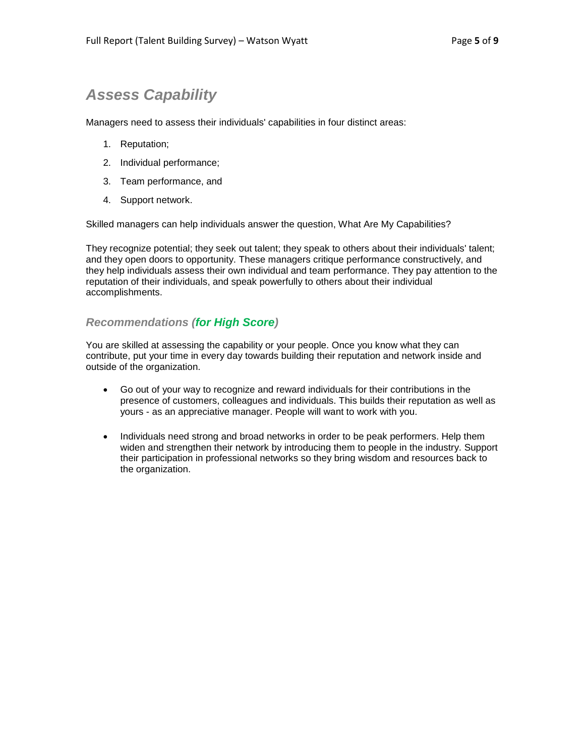## *Assess Capability*

Managers need to assess their individuals' capabilities in four distinct areas:

- 1. Reputation;
- 2. Individual performance;
- 3. Team performance, and
- 4. Support network.

Skilled managers can help individuals answer the question, What Are My Capabilities?

They recognize potential; they seek out talent; they speak to others about their individuals' talent; and they open doors to opportunity. These managers critique performance constructively, and they help individuals assess their own individual and team performance. They pay attention to the reputation of their individuals, and speak powerfully to others about their individual accomplishments.

## *Recommendations (for High Score)*

You are skilled at assessing the capability or your people. Once you know what they can contribute, put your time in every day towards building their reputation and network inside and outside of the organization.

- Go out of your way to recognize and reward individuals for their contributions in the presence of customers, colleagues and individuals. This builds their reputation as well as yours - as an appreciative manager. People will want to work with you.
- Individuals need strong and broad networks in order to be peak performers. Help them widen and strengthen their network by introducing them to people in the industry. Support their participation in professional networks so they bring wisdom and resources back to the organization.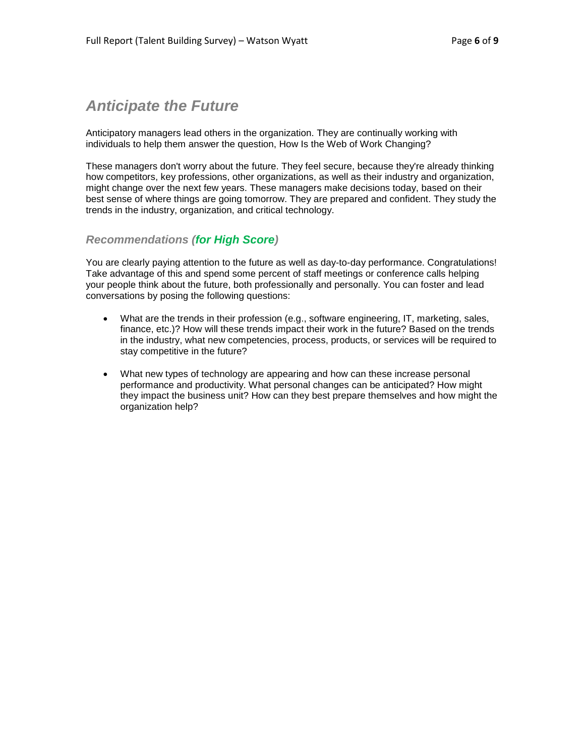## *Anticipate the Future*

Anticipatory managers lead others in the organization. They are continually working with individuals to help them answer the question, How Is the Web of Work Changing?

These managers don't worry about the future. They feel secure, because they're already thinking how competitors, key professions, other organizations, as well as their industry and organization, might change over the next few years. These managers make decisions today, based on their best sense of where things are going tomorrow. They are prepared and confident. They study the trends in the industry, organization, and critical technology.

## *Recommendations (for High Score)*

You are clearly paying attention to the future as well as day-to-day performance. Congratulations! Take advantage of this and spend some percent of staff meetings or conference calls helping your people think about the future, both professionally and personally. You can foster and lead conversations by posing the following questions:

- What are the trends in their profession (e.g., software engineering, IT, marketing, sales, finance, etc.)? How will these trends impact their work in the future? Based on the trends in the industry, what new competencies, process, products, or services will be required to stay competitive in the future?
- What new types of technology are appearing and how can these increase personal performance and productivity. What personal changes can be anticipated? How might they impact the business unit? How can they best prepare themselves and how might the organization help?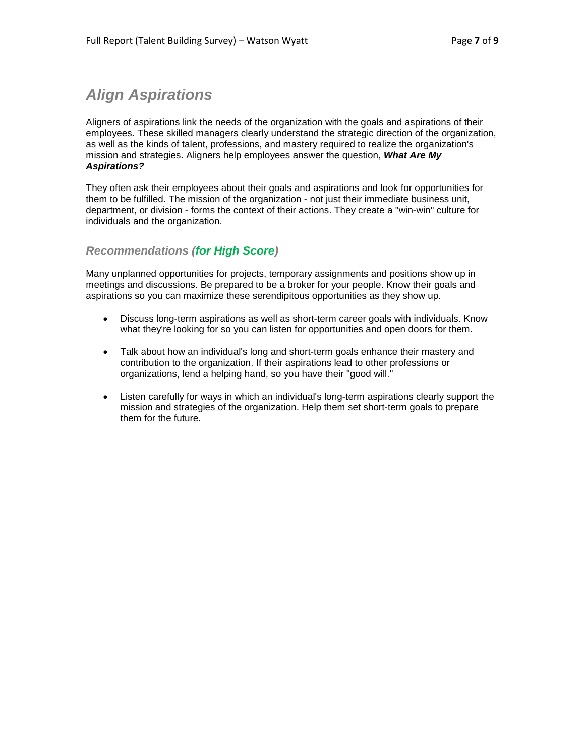## *Align Aspirations*

Aligners of aspirations link the needs of the organization with the goals and aspirations of their employees. These skilled managers clearly understand the strategic direction of the organization, as well as the kinds of talent, professions, and mastery required to realize the organization's mission and strategies. Aligners help employees answer the question, *What Are My Aspirations?*

They often ask their employees about their goals and aspirations and look for opportunities for them to be fulfilled. The mission of the organization - not just their immediate business unit, department, or division - forms the context of their actions. They create a "win-win" culture for individuals and the organization.

## *Recommendations (for High Score)*

Many unplanned opportunities for projects, temporary assignments and positions show up in meetings and discussions. Be prepared to be a broker for your people. Know their goals and aspirations so you can maximize these serendipitous opportunities as they show up.

- Discuss long-term aspirations as well as short-term career goals with individuals. Know what they're looking for so you can listen for opportunities and open doors for them.
- Talk about how an individual's long and short-term goals enhance their mastery and contribution to the organization. If their aspirations lead to other professions or organizations, lend a helping hand, so you have their "good will."
- Listen carefully for ways in which an individual's long-term aspirations clearly support the mission and strategies of the organization. Help them set short-term goals to prepare them for the future.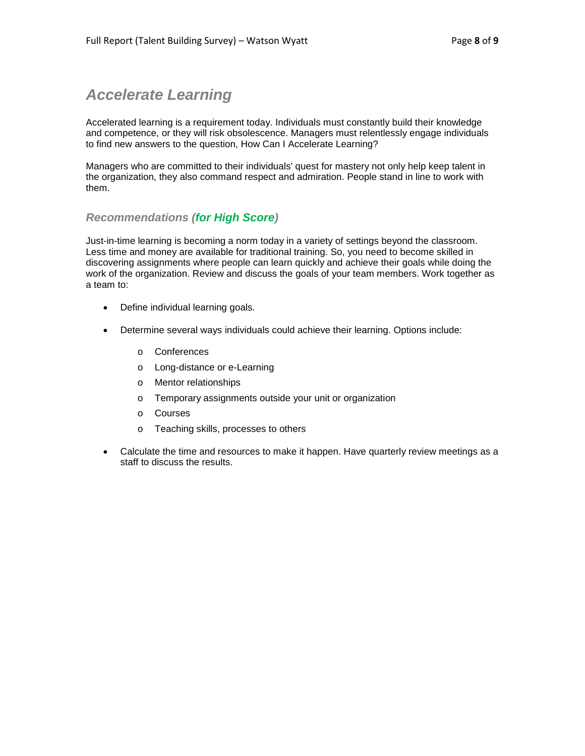## *Accelerate Learning*

Accelerated learning is a requirement today. Individuals must constantly build their knowledge and competence, or they will risk obsolescence. Managers must relentlessly engage individuals to find new answers to the question, How Can I Accelerate Learning?

Managers who are committed to their individuals' quest for mastery not only help keep talent in the organization, they also command respect and admiration. People stand in line to work with them.

## *Recommendations (for High Score)*

Just-in-time learning is becoming a norm today in a variety of settings beyond the classroom. Less time and money are available for traditional training. So, you need to become skilled in discovering assignments where people can learn quickly and achieve their goals while doing the work of the organization. Review and discuss the goals of your team members. Work together as a team to:

- Define individual learning goals.
- Determine several ways individuals could achieve their learning. Options include:
	- o Conferences
	- o Long-distance or e-Learning
	- o Mentor relationships
	- o Temporary assignments outside your unit or organization
	- o Courses
	- o Teaching skills, processes to others
- Calculate the time and resources to make it happen. Have quarterly review meetings as a staff to discuss the results.